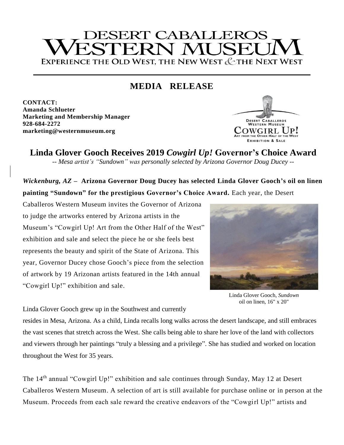# **DESERT CABALLEROS** TRP EXPERIENCE THE OLD WEST, THE NEW WEST & THE NEXT WEST

# **MEDIA RELEASE**

**CONTACT: Amanda Schlueter Marketing and Membership Manager 928-684-2272 marketing@westernmuseum.org**



**Linda Glover Gooch Receives 2019** *Cowgirl Up!* **Governor's Choice Award** *-- Mesa artist's "Sundown" was personally selected by Arizona Governor Doug Ducey --*

*Wickenburg, AZ* **– Arizona Governor Doug Ducey has selected Linda Glover Gooch's oil on linen painting "Sundown" for the prestigious Governor's Choice Award.** Each year, the Desert

Caballeros Western Museum invites the Governor of Arizona to judge the artworks entered by Arizona artists in the Museum's "Cowgirl Up! Art from the Other Half of the West" exhibition and sale and select the piece he or she feels best represents the beauty and spirit of the State of Arizona. This year, Governor Ducey chose Gooch's piece from the selection of artwork by 19 Arizonan artists featured in the 14th annual "Cowgirl Up!" exhibition and sale.



Linda Glover Gooch, *Sundown* oil on linen, 16" x 20"

Linda Glover Gooch grew up in the Southwest and currently

resides in Mesa, Arizona. As a child, Linda recalls long walks across the desert landscape, and still embraces the vast scenes that stretch across the West. She calls being able to share her love of the land with collectors and viewers through her paintings "truly a blessing and a privilege". She has studied and worked on location throughout the West for 35 years.

The 14<sup>th</sup> annual "Cowgirl Up!" exhibition and sale continues through Sunday, May 12 at Desert Caballeros Western Museum. A selection of art is still available for purchase online or in person at the Museum. Proceeds from each sale reward the creative endeavors of the "Cowgirl Up!" artists and